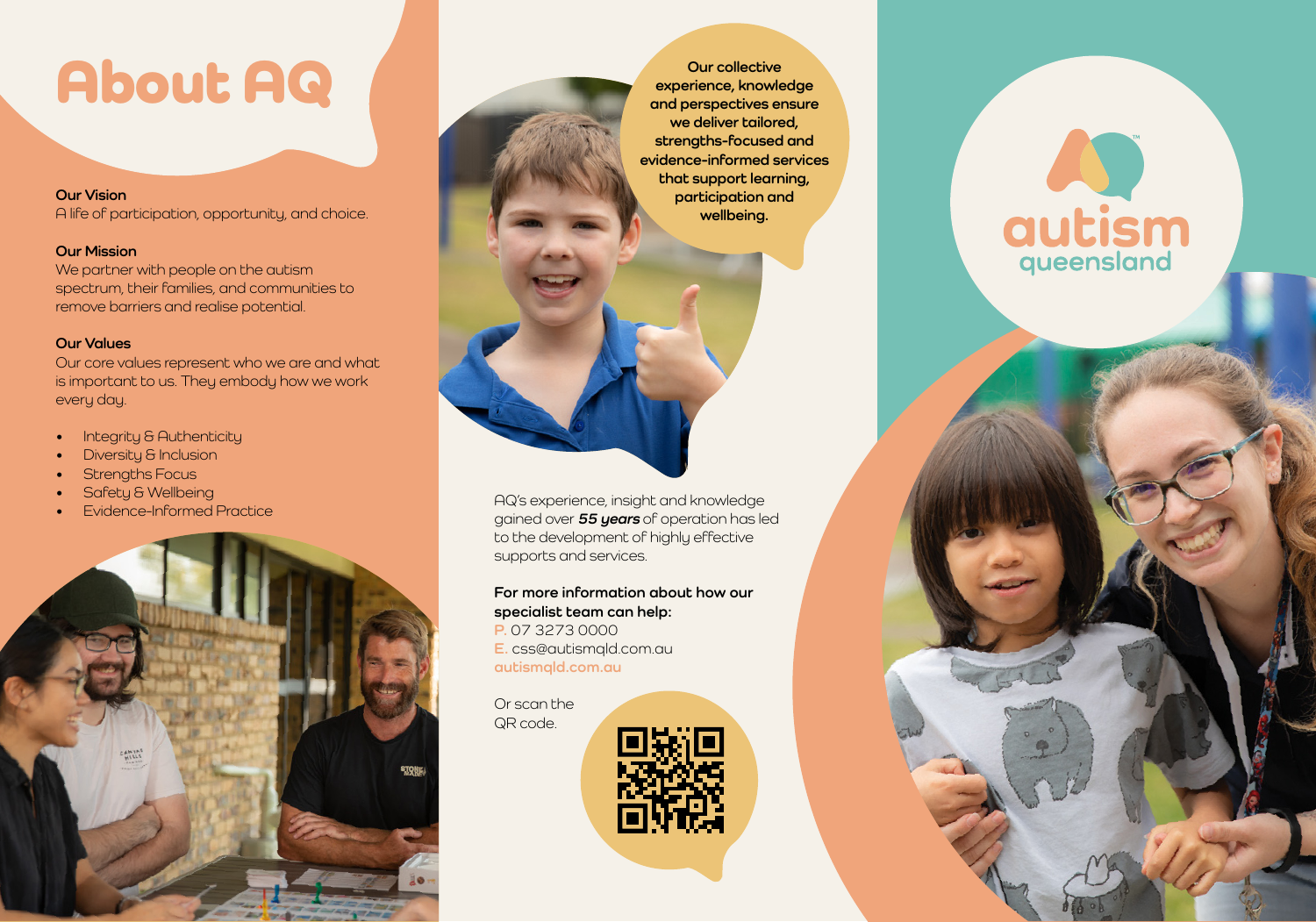# About AQ

### **Our Vision**

A life of participation, opportunity, and choice.

## **Our Mission**

We partner with people on the autism spectrum, their families, and communities to remove barriers and realise potential.

# **Our Values**

Our core values represent who we are and what is important to us. They embody how we work every day.

- Integrity & Authenticity
- Diversity & Inclusion
- Strengths Focus
- Safety & Wellbeing
- Evidence-Informed Practice



**Our collective experience, knowledge and perspectives ensure we deliver tailored, strengths-focused and evidence-informed services that support learning, participation and wellbeing.**

**autism** 

AQ's experience, insight and knowledge gained over **55 years** of operation has led to the development of highly effective supports and services.

**For more information about how our specialist team can help: P.** 07 3273 0000 **E.** css@autismqld.com.au **autismqld.com.au**

Or scan the QR code.